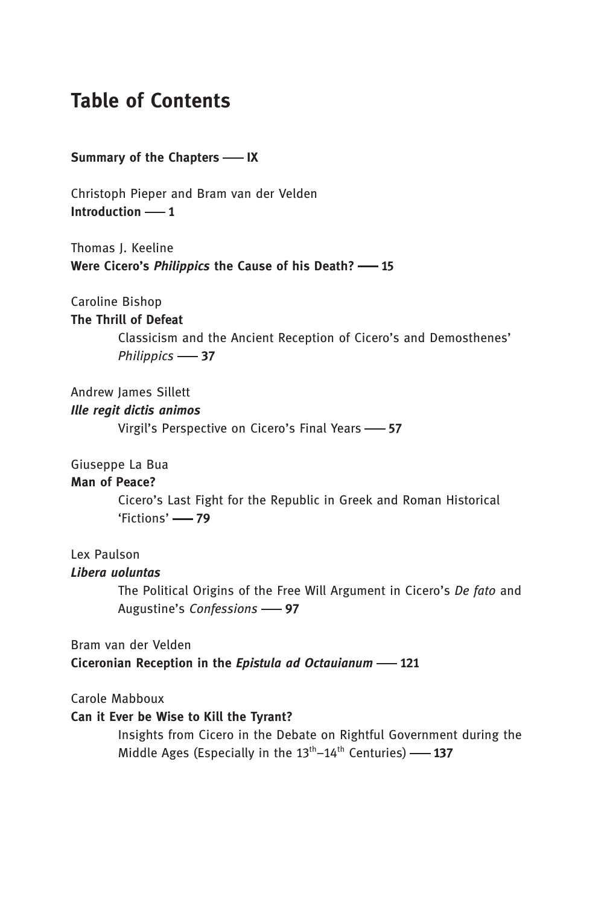# Table of Contents

Summary of the Chapters - IX

Christoph Pieper and Bram van der Velden Introduction  $-1$ 

Thomas I. Keeline Were Cicero's *Philippics* the Cause of his Death? - 15

Caroline Bishop

```
The Thrill of Defeat
```
Classicism and the Ancient Reception of Cicero's and Demosthenes' Philippics -87

Andrew James Sillett

## Ille regit dictis animos

Virgil's Perspective on Cicero's Final Years -- 57

Giuseppe La Bua

## Man of Peace?

Cicero's Last Fight for the Republic in Greek and Roman Historical 'Fictions' - 79

Lex Paulson

#### Libera uoluntas

The Political Origins of the Free Will Argument in Cicero's De fato and Augustine's Confessions -97

Bram van der Velden Ciceronian Reception in the Epistula ad Octauianum -121

Carole Mabboux

### Can it Ever be Wise to Kill the Tyrant?

Insights from Cicero in the Debate on Rightful Government during the Middle Ages (Especially in the  $13<sup>th</sup> - 14<sup>th</sup>$  Centuries) -- 137